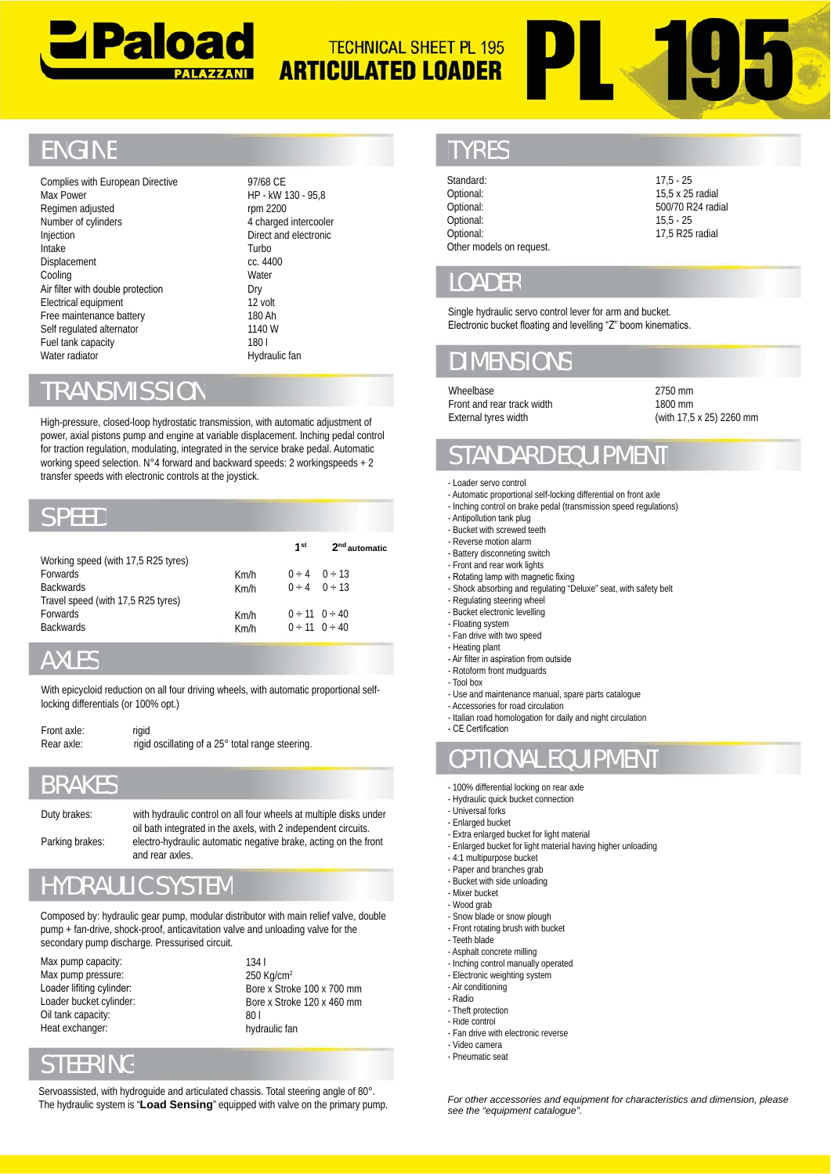



# **ENGINE**

97/68 CE 97/68 HP - kW 130 - 95,8 rpm 2200 4 charged intercooler Direct and electronic Turbo Turbo cc. 4400 **Water** Dry 12 volt 180 Ah 180 1140 W 180 l 180

#### RANSMISSION

#### SPEED

| Regimen adjusted<br>Number of cylinders<br>Injection<br>Intake<br>Displacement<br>Cooling<br>Air filter with double protection<br>Electrical equipment<br>Free maintenance battery<br>Self regulated alternator<br>Fuel tank capacity<br>Water radiator |                                                                                                                                                                                                                                                                                                                                                                                                                  | rpm 2200<br>4 charged intercooler<br>Direct and electronic<br>Turbo<br>cc. 4400<br>Water<br>Dry<br>12 volt<br>180 Ah<br>1140 W<br>1801<br>Hydraulic fan |                                                                                         | Optional:<br>Optional:<br>Optional:<br>Other models on request.<br><b>LOADER</b><br>Single hydraulic servo control lever for arm and bucket.<br>Electronic bucket floating and levelling "Z" boom kinemation<br><b>DIMENSIONS</b> | 500/70<br>$15,5 -$<br>17,5R                                                                                                                                                                                                                                                                                                                           |                  |
|---------------------------------------------------------------------------------------------------------------------------------------------------------------------------------------------------------------------------------------------------------|------------------------------------------------------------------------------------------------------------------------------------------------------------------------------------------------------------------------------------------------------------------------------------------------------------------------------------------------------------------------------------------------------------------|---------------------------------------------------------------------------------------------------------------------------------------------------------|-----------------------------------------------------------------------------------------|-----------------------------------------------------------------------------------------------------------------------------------------------------------------------------------------------------------------------------------|-------------------------------------------------------------------------------------------------------------------------------------------------------------------------------------------------------------------------------------------------------------------------------------------------------------------------------------------------------|------------------|
| <b>TRANSMISSION</b>                                                                                                                                                                                                                                     |                                                                                                                                                                                                                                                                                                                                                                                                                  |                                                                                                                                                         |                                                                                         |                                                                                                                                                                                                                                   | Wheelbase<br>Front and rear track width                                                                                                                                                                                                                                                                                                               | 2750 n<br>1800 n |
|                                                                                                                                                                                                                                                         | High-pressure, closed-loop hydrostatic transmission, with automatic adjustment of<br>power, axial pistons pump and engine at variable displacement. Inching pedal control<br>for traction regulation, modulating, integrated in the service brake pedal. Automatic<br>working speed selection. N°4 forward and backward speeds: 2 workingspeeds + 2<br>transfer speeds with electronic controls at the joystick. |                                                                                                                                                         |                                                                                         |                                                                                                                                                                                                                                   | External tyres width<br><b>STANDARD EQUIPMENT</b><br>- Loader servo control<br>- Automatic proportional self-locking differential on front axle                                                                                                                                                                                                       | (with 1          |
| <b>SPEED</b>                                                                                                                                                                                                                                            |                                                                                                                                                                                                                                                                                                                                                                                                                  |                                                                                                                                                         |                                                                                         |                                                                                                                                                                                                                                   | - Inching control on brake pedal (transmission speed regulations)<br>- Antipollution tank plug                                                                                                                                                                                                                                                        |                  |
| Working speed (with 17,5 R25 tyres)<br>Forwards<br><b>Backwards</b><br>Travel speed (with 17,5 R25 tyres)<br>Forwards<br><b>Backwards</b>                                                                                                               |                                                                                                                                                                                                                                                                                                                                                                                                                  | Km/h<br>Km/h<br>Km/h<br>Km/h                                                                                                                            | 1 <sup>st</sup><br>0 ÷ 4<br>0 ÷ 4<br>$0 \div 11$ $0 \div 40$<br>$0 \div 11$ $0 \div 40$ | 2 <sup>nd</sup> automatic<br>0 ÷ 13<br>0 ÷ 13                                                                                                                                                                                     | - Bucket with screwed teeth<br>- Reverse motion alarm<br>- Battery disconneting switch<br>- Front and rear work lights<br>- Rotating lamp with magnetic fixing<br>- Shock absorbing and regulating "Deluxe" seat, with safety belt<br>- Regulating steering wheel<br>- Bucket electronic levelling<br>- Floating system<br>- Fan drive with two speed |                  |
| <b>AXLES</b>                                                                                                                                                                                                                                            |                                                                                                                                                                                                                                                                                                                                                                                                                  |                                                                                                                                                         |                                                                                         |                                                                                                                                                                                                                                   | - Heating plant<br>- Air filter in aspiration from outside                                                                                                                                                                                                                                                                                            |                  |
| locking differentials (or 100% opt.)<br>Front axle:                                                                                                                                                                                                     | With epicycloid reduction on all four driving wheels, with automatic proportional self-<br>rigid                                                                                                                                                                                                                                                                                                                 |                                                                                                                                                         |                                                                                         |                                                                                                                                                                                                                                   | - Rotoform front mudguards<br>- Tool box<br>- Use and maintenance manual, spare parts catalogue<br>- Accessories for road circulation<br>- Italian road homologation for daily and night circulation<br>- CE Certification                                                                                                                            |                  |
| Rear axle:                                                                                                                                                                                                                                              | rigid oscillating of a 25° total range steering.                                                                                                                                                                                                                                                                                                                                                                 |                                                                                                                                                         |                                                                                         |                                                                                                                                                                                                                                   | <b>OPTIONAL EQUIPMENT</b>                                                                                                                                                                                                                                                                                                                             |                  |
| <b>BRAKES</b><br>Duty brakes:<br>Parking brakes:                                                                                                                                                                                                        | with hydraulic control on all four wheels at multiple disks under<br>oil bath integrated in the axels, with 2 independent circuits.<br>electro-hydraulic automatic negative brake, acting on the front<br>and rear axles.                                                                                                                                                                                        |                                                                                                                                                         |                                                                                         |                                                                                                                                                                                                                                   | - 100% differential locking on rear axle<br>- Hydraulic quick bucket connection<br>- Universal forks<br>- Enlarged bucket<br>- Extra enlarged bucket for light material<br>- Enlarged bucket for light material having higher unloading<br>- 4:1 multipurpose bucket<br>- Paper and branches grab                                                     |                  |
|                                                                                                                                                                                                                                                         | <b>HYDRAULIC SYSTEM</b>                                                                                                                                                                                                                                                                                                                                                                                          |                                                                                                                                                         |                                                                                         |                                                                                                                                                                                                                                   | - Bucket with side unloading<br>- Mixer bucket                                                                                                                                                                                                                                                                                                        |                  |
|                                                                                                                                                                                                                                                         | Composed by: hydraulic gear pump, modular distributor with main relief valve, double<br>pump + fan-drive, shock-proof, anticavitation valve and unloading valve for the<br>secondary pump discharge. Pressurised circuit.                                                                                                                                                                                        |                                                                                                                                                         |                                                                                         |                                                                                                                                                                                                                                   | - Wood grab<br>- Snow blade or snow plough<br>- Front rotating brush with bucket<br>- Teeth blade                                                                                                                                                                                                                                                     |                  |
| Max pump capacity:<br>Max pump pressure:<br>Loader lifiting cylinder:<br>Loader bucket cylinder:<br>Oil tank capacity:<br>Heat exchanger:                                                                                                               |                                                                                                                                                                                                                                                                                                                                                                                                                  | 1341<br>250 Kg/cm <sup>2</sup><br>80 I<br>hydraulic fan                                                                                                 | Bore x Stroke 100 x 700 mm<br>Bore x Stroke 120 x 460 mm                                |                                                                                                                                                                                                                                   | - Asphalt concrete milling<br>- Inching control manually operated<br>- Electronic weighting system<br>- Air conditioning<br>- Radio<br>- Theft protection<br>- Ride control<br>- Fan drive with electronic reverse<br>- Video camera                                                                                                                  |                  |
| <b>STEERING</b>                                                                                                                                                                                                                                         |                                                                                                                                                                                                                                                                                                                                                                                                                  |                                                                                                                                                         |                                                                                         |                                                                                                                                                                                                                                   | - Pneumatic seat                                                                                                                                                                                                                                                                                                                                      |                  |
|                                                                                                                                                                                                                                                         | Servoassisted, with hydroguide and articulated chassis. Total steering angle of 80°.<br>The hydraulic system is " <b>Load Sensing</b> " equipped with valve on the primary pump.                                                                                                                                                                                                                                 |                                                                                                                                                         |                                                                                         |                                                                                                                                                                                                                                   | For other accessories and equipment for characteristic                                                                                                                                                                                                                                                                                                |                  |

# AXLES

| locking differentials (or 100% opt.) | With epicycloid reduction on all four driving wheels, with automatic portal                        |
|--------------------------------------|----------------------------------------------------------------------------------------------------|
| Front axle:<br>Rear axle:            | rigid<br>rigid oscillating of a 25° total range steering.                                          |
| <b>BRAKES</b>                        |                                                                                                    |
| Duty brakes:                         | with hydraulic control on all four wheels at me<br>oil bath integrated in the axels, with 2 indepe |
| Parking brakes:                      | electro-hydraulic automatic negative brake, a<br>and rear axles.                                   |
|                                      | <b>HYDRAULIC SYSTEM</b>                                                                            |
|                                      | Composed by: hydraulic gear pump, modular distributor with main re                                 |

#### BRAKES

# HYDRAULIC SYSTEM

# STEERING

Servoassisted, with hydroguide and articulated chassis. Total steering angle of 80°. The hydraulic system is "**Load Sensing**" equipped with valve on the primary pump.

#### TYRES

Standard: Optional: Optional: Optional: Optional: Other models on request. 17,5 - 25 15,5 x 25 radial 500/70 R24 radial 15,5 - 25 17,5 R25 radial

#### LOADER

# **DIMENSIONS**

(with 17,5 x 25) 2260 mm

# STANDARD EQUIPMENT

#### - Loader servo control

- Automatic proportional self-locking differential on front axle
- Inching control on brake pedal (transmission speed regulations) - Inching control on brake pedal (transmission speed regulation<br>- Antipollution tank plug<br>- Bucket with screwed teeth<br>- Beverse motion alarm<br>- Battery disconnetring switch<br>- Front and rear work lights<br>- Rotating lamp with
- Antipollution tank plug - Bucket with screwed teeth
- 
- Reverse motion alarm - Battery disconneting switch
- Front and rear work lights
- Rotating lamp with magnetic fixing
- 
- Regulating steering wheel
- Bucket electronic levelling
- Floating system
- Fan drive with two speed<br>- Heating plant
- Heating plant
- Air filter in aspiration from outside
- Rotoform front mudguards
- Tool box
- Use and maintenance manual, spare parts catalogue - Air filter in aspiration from outside<br>- Rotoform front mudguards<br>- Tool box<br>- Use and maintenance manual, sp<br>- Accessories for road circulation<br>- Accessories for road circulation<br>- Italian road homologation for daily<br>- C
- Accessories for road circulation
- Italian road homologation for daily and night circulation - CF Certification

# OPTIONAL EQUIPMENT

- 100% differential locking on rear axle
- Hydraulic quick bucket connection
- Universal forks
- Enlarged bucket
- Extra enlarged bucket for light material
- 100% differential locking on rear axle<br>- Hydraulic quick bucket connection<br>- Enlarged bucket<br>- Enlarged bucket for light material<br>- Enlarged bucket for light material having higher unloading
- 4:1 multipurpose bucket
- Paper and branches grab
- Bucket with side unloading
- Mixer bucket
- Wood grab
- Wood grab<br>- Snow blade or snow plough - Front rotating brush with bucket
- Teeth blade
- 
- Asphalt concrete milling - Inching control manually operated
- Electronic weighting system
- Air conditioning
- Radio
- Theft protection
- Ride control
- Fan drive with electronic reverse
- Video camera
	- Pneumatic seat

*For other accessories and equipment for characteristics and dimension, please see the "equipment catalogue".*

2750 mm 1800 mm